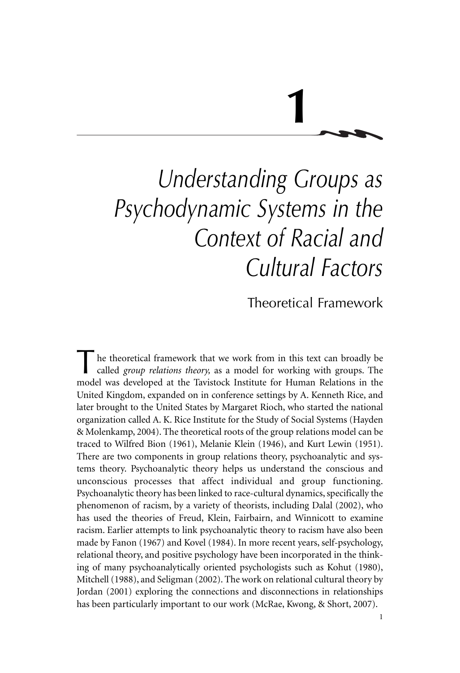# **1**

# *Understanding Groups as Psychodynamic Systems in the Context of Racial and Cultural Factors*

Theoretical Framework

The theoretical framework that we work from in this text can broadly be called *group relations theory*, as a model for working with groups. The model was durating at the Trujetask Institute for Uwman Pelations in the model was developed at the Tavistock Institute for Human Relations in the United Kingdom, expanded on in conference settings by A. Kenneth Rice, and later brought to the United States by Margaret Rioch, who started the national organization called A. K. Rice Institute for the Study of Social Systems (Hayden & Molenkamp, 2004). The theoretical roots of the group relations model can be traced to Wilfred Bion (1961), Melanie Klein (1946), and Kurt Lewin (1951). There are two components in group relations theory, psychoanalytic and systems theory. Psychoanalytic theory helps us understand the conscious and unconscious processes that affect individual and group functioning. Psychoanalytic theory has been linked to race-cultural dynamics, specifically the phenomenon of racism, by a variety of theorists, including Dalal (2002), who has used the theories of Freud, Klein, Fairbairn, and Winnicott to examine racism. Earlier attempts to link psychoanalytic theory to racism have also been made by Fanon (1967) and Kovel (1984). In more recent years, self-psychology, relational theory, and positive psychology have been incorporated in the thinking of many psychoanalytically oriented psychologists such as Kohut (1980), Mitchell (1988), and Seligman (2002). The work on relational cultural theory by Jordan (2001) exploring the connections and disconnections in relationships has been particularly important to our work (McRae, Kwong, & Short, 2007).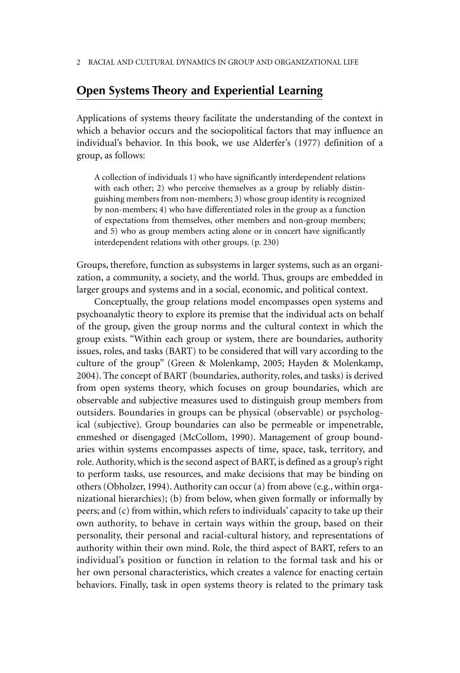#### **Open Systems Theory and Experiential Learning**

Applications of systems theory facilitate the understanding of the context in which a behavior occurs and the sociopolitical factors that may influence an individual's behavior. In this book, we use Alderfer's (1977) definition of a group, as follows:

A collection of individuals 1) who have significantly interdependent relations with each other; 2) who perceive themselves as a group by reliably distinguishing members from non-members; 3) whose group identity is recognized by non-members; 4) who have differentiated roles in the group as a function of expectations from themselves, other members and non-group members; and 5) who as group members acting alone or in concert have significantly interdependent relations with other groups. (p. 230)

Groups, therefore, function as subsystems in larger systems, such as an organization, a community, a society, and the world. Thus, groups are embedded in larger groups and systems and in a social, economic, and political context.

Conceptually, the group relations model encompasses open systems and psychoanalytic theory to explore its premise that the individual acts on behalf of the group, given the group norms and the cultural context in which the group exists. "Within each group or system, there are boundaries, authority issues, roles, and tasks (BART) to be considered that will vary according to the culture of the group" (Green & Molenkamp, 2005; Hayden & Molenkamp, 2004). The concept of BART (boundaries, authority,roles, and tasks) is derived from open systems theory, which focuses on group boundaries, which are observable and subjective measures used to distinguish group members from outsiders. Boundaries in groups can be physical (observable) or psychological (subjective). Group boundaries can also be permeable or impenetrable, enmeshed or disengaged (McCollom, 1990). Management of group boundaries within systems encompasses aspects of time, space, task, territory, and role.Authority,which is the second aspect of BART, is defined as a group's right to perform tasks, use resources, and make decisions that may be binding on others (Obholzer, 1994). Authority can occur (a) from above (e.g., within organizational hierarchies); (b) from below, when given formally or informally by peers; and (c) from within, which refers to individuals' capacity to take up their own authority, to behave in certain ways within the group, based on their personality, their personal and racial-cultural history, and representations of authority within their own mind. Role, the third aspect of BART, refers to an individual's position or function in relation to the formal task and his or her own personal characteristics, which creates a valence for enacting certain behaviors. Finally, task in open systems theory is related to the primary task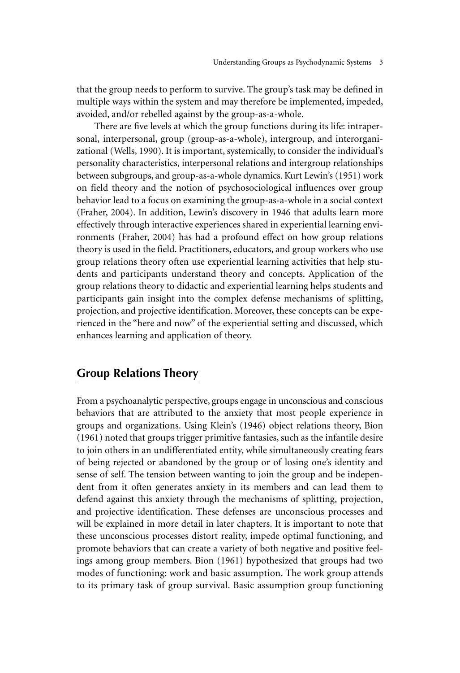that the group needs to perform to survive. The group's task may be defined in multiple ways within the system and may therefore be implemented, impeded, avoided, and/or rebelled against by the group-as-a-whole.

There are five levels at which the group functions during its life: intrapersonal, interpersonal, group (group-as-a-whole), intergroup, and interorganizational (Wells, 1990). It is important, systemically, to consider the individual's personality characteristics, interpersonal relations and intergroup relationships between subgroups, and group-as-a-whole dynamics. Kurt Lewin's (1951) work on field theory and the notion of psychosociological influences over group behavior lead to a focus on examining the group-as-a-whole in a social context (Fraher, 2004). In addition, Lewin's discovery in 1946 that adults learn more effectively through interactive experiences shared in experiential learning environments (Fraher, 2004) has had a profound effect on how group relations theory is used in the field. Practitioners, educators, and group workers who use group relations theory often use experiential learning activities that help students and participants understand theory and concepts. Application of the group relations theory to didactic and experiential learning helps students and participants gain insight into the complex defense mechanisms of splitting, projection, and projective identification. Moreover, these concepts can be experienced in the "here and now" of the experiential setting and discussed, which enhances learning and application of theory.

### **Group Relations Theory**

From a psychoanalytic perspective, groups engage in unconscious and conscious behaviors that are attributed to the anxiety that most people experience in groups and organizations. Using Klein's (1946) object relations theory, Bion (1961) noted that groups trigger primitive fantasies, such as the infantile desire to join others in an undifferentiated entity, while simultaneously creating fears of being rejected or abandoned by the group or of losing one's identity and sense of self. The tension between wanting to join the group and be independent from it often generates anxiety in its members and can lead them to defend against this anxiety through the mechanisms of splitting, projection, and projective identification. These defenses are unconscious processes and will be explained in more detail in later chapters. It is important to note that these unconscious processes distort reality, impede optimal functioning, and promote behaviors that can create a variety of both negative and positive feelings among group members. Bion (1961) hypothesized that groups had two modes of functioning: work and basic assumption. The work group attends to its primary task of group survival. Basic assumption group functioning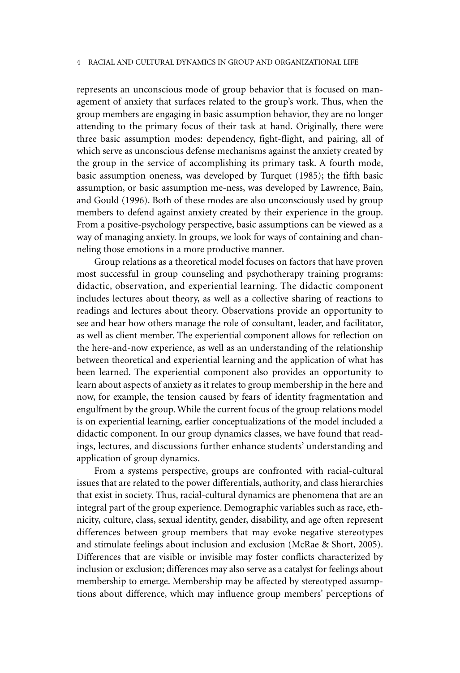represents an unconscious mode of group behavior that is focused on management of anxiety that surfaces related to the group's work. Thus, when the group members are engaging in basic assumption behavior, they are no longer attending to the primary focus of their task at hand. Originally, there were three basic assumption modes: dependency, fight-flight, and pairing, all of which serve as unconscious defense mechanisms against the anxiety created by the group in the service of accomplishing its primary task. A fourth mode, basic assumption oneness, was developed by Turquet (1985); the fifth basic assumption, or basic assumption me-ness, was developed by Lawrence, Bain, and Gould (1996). Both of these modes are also unconsciously used by group members to defend against anxiety created by their experience in the group. From a positive-psychology perspective, basic assumptions can be viewed as a way of managing anxiety. In groups, we look for ways of containing and channeling those emotions in a more productive manner.

Group relations as a theoretical model focuses on factors that have proven most successful in group counseling and psychotherapy training programs: didactic, observation, and experiential learning. The didactic component includes lectures about theory, as well as a collective sharing of reactions to readings and lectures about theory. Observations provide an opportunity to see and hear how others manage the role of consultant, leader, and facilitator, as well as client member. The experiential component allows for reflection on the here-and-now experience, as well as an understanding of the relationship between theoretical and experiential learning and the application of what has been learned. The experiential component also provides an opportunity to learn about aspects of anxiety as it relates to group membership in the here and now, for example, the tension caused by fears of identity fragmentation and engulfment by the group. While the current focus of the group relations model is on experiential learning, earlier conceptualizations of the model included a didactic component. In our group dynamics classes, we have found that readings, lectures, and discussions further enhance students' understanding and application of group dynamics.

From a systems perspective, groups are confronted with racial-cultural issues that are related to the power differentials, authority, and class hierarchies that exist in society. Thus, racial-cultural dynamics are phenomena that are an integral part of the group experience. Demographic variables such as race, ethnicity, culture, class, sexual identity, gender, disability, and age often represent differences between group members that may evoke negative stereotypes and stimulate feelings about inclusion and exclusion (McRae & Short, 2005). Differences that are visible or invisible may foster conflicts characterized by inclusion or exclusion; differences may also serve as a catalyst for feelings about membership to emerge. Membership may be affected by stereotyped assumptions about difference, which may influence group members' perceptions of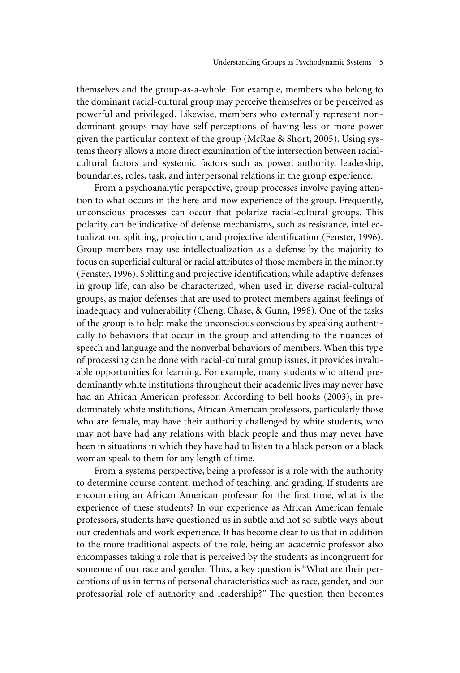themselves and the group-as-a-whole. For example, members who belong to the dominant racial-cultural group may perceive themselves or be perceived as powerful and privileged. Likewise, members who externally represent nondominant groups may have self-perceptions of having less or more power given the particular context of the group (McRae & Short, 2005). Using systems theory allows a more direct examination of the intersection between racialcultural factors and systemic factors such as power, authority, leadership, boundaries, roles, task, and interpersonal relations in the group experience.

From a psychoanalytic perspective, group processes involve paying attention to what occurs in the here-and-now experience of the group. Frequently, unconscious processes can occur that polarize racial-cultural groups. This polarity can be indicative of defense mechanisms, such as resistance, intellectualization, splitting, projection, and projective identification (Fenster, 1996). Group members may use intellectualization as a defense by the majority to focus on superficial cultural or racial attributes of those members in the minority (Fenster, 1996). Splitting and projective identification, while adaptive defenses in group life, can also be characterized, when used in diverse racial-cultural groups, as major defenses that are used to protect members against feelings of inadequacy and vulnerability (Cheng, Chase, & Gunn, 1998). One of the tasks of the group is to help make the unconscious conscious by speaking authentically to behaviors that occur in the group and attending to the nuances of speech and language and the nonverbal behaviors of members. When this type of processing can be done with racial-cultural group issues, it provides invaluable opportunities for learning. For example, many students who attend predominantly white institutions throughout their academic lives may never have had an African American professor. According to bell hooks (2003), in predominately white institutions, African American professors, particularly those who are female, may have their authority challenged by white students, who may not have had any relations with black people and thus may never have been in situations in which they have had to listen to a black person or a black woman speak to them for any length of time.

From a systems perspective, being a professor is a role with the authority to determine course content, method of teaching, and grading. If students are encountering an African American professor for the first time, what is the experience of these students? In our experience as African American female professors, students have questioned us in subtle and not so subtle ways about our credentials and work experience. It has become clear to us that in addition to the more traditional aspects of the role, being an academic professor also encompasses taking a role that is perceived by the students as incongruent for someone of our race and gender. Thus, a key question is "What are their perceptions of us in terms of personal characteristics such as race, gender, and our professorial role of authority and leadership?" The question then becomes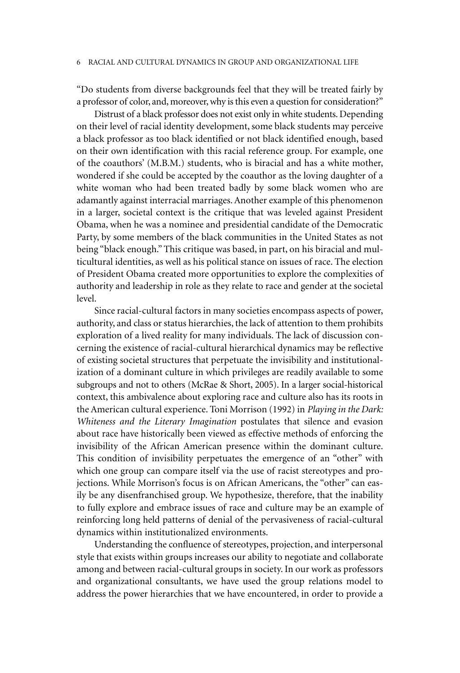#### 6—RACIAL AND CULTURAL DYNAMICS IN GROUP AND ORGANIZATIONAL LIFE

"Do students from diverse backgrounds feel that they will be treated fairly by a professor of color, and, moreover,why isthis even a question for consideration?"

Distrust of a black professor does not exist only in white students. Depending on their level of racial identity development, some black students may perceive a black professor as too black identified or not black identified enough, based on their own identification with this racial reference group. For example, one of the coauthors' (M.B.M.) students, who is biracial and has a white mother, wondered if she could be accepted by the coauthor as the loving daughter of a white woman who had been treated badly by some black women who are adamantly against interracial marriages.Another example of this phenomenon in a larger, societal context is the critique that was leveled against President Obama, when he was a nominee and presidential candidate of the Democratic Party, by some members of the black communities in the United States as not being "black enough." This critique was based, in part, on his biracial and multicultural identities, as well as his political stance on issues of race. The election of President Obama created more opportunities to explore the complexities of authority and leadership in role as they relate to race and gender at the societal level.

Since racial-cultural factors in many societies encompass aspects of power, authority, and class or status hierarchies, the lack of attention to them prohibits exploration of a lived reality for many individuals. The lack of discussion concerning the existence of racial-cultural hierarchical dynamics may be reflective of existing societal structures that perpetuate the invisibility and institutionalization of a dominant culture in which privileges are readily available to some subgroups and not to others (McRae & Short, 2005). In a larger social-historical context, this ambivalence about exploring race and culture also has its roots in the American cultural experience. Toni Morrison (1992) in *Playing in the Dark: Whiteness and the Literary Imagination* postulates that silence and evasion about race have historically been viewed as effective methods of enforcing the invisibility of the African American presence within the dominant culture. This condition of invisibility perpetuates the emergence of an "other" with which one group can compare itself via the use of racist stereotypes and projections. While Morrison's focus is on African Americans, the "other" can easily be any disenfranchised group. We hypothesize, therefore, that the inability to fully explore and embrace issues of race and culture may be an example of reinforcing long held patterns of denial of the pervasiveness of racial-cultural dynamics within institutionalized environments.

Understanding the confluence of stereotypes, projection, and interpersonal style that exists within groups increases our ability to negotiate and collaborate among and between racial-cultural groups in society. In our work as professors and organizational consultants, we have used the group relations model to address the power hierarchies that we have encountered, in order to provide a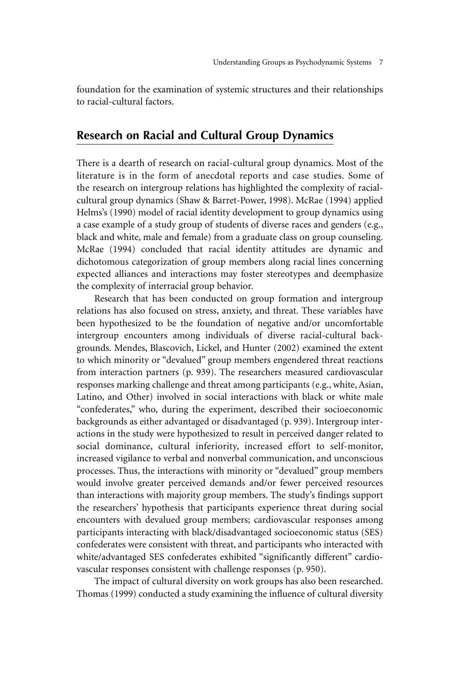foundation for the examination of systemic structures and their relationships to racial-cultural factors.

#### **Research on Racial and Cultural Group Dynamics**

There is a dearth of research on racial-cultural group dynamics. Most of the literature is in the form of anecdotal reports and case studies. Some of the research on intergroup relations has highlighted the complexity of racialcultural group dynamics (Shaw & Barret-Power, 1998). McRae (1994) applied Helms's (1990) model of racial identity development to group dynamics using a case example of a study group of students of diverse races and genders (e.g., black and white, male and female) from a graduate class on group counseling. McRae (1994) concluded that racial identity attitudes are dynamic and dichotomous categorization of group members along racial lines concerning expected alliances and interactions may foster stereotypes and deemphasize the complexity of interracial group behavior.

Research that has been conducted on group formation and intergroup relations has also focused on stress, anxiety, and threat. These variables have been hypothesized to be the foundation of negative and/or uncomfortable intergroup encounters among individuals of diverse racial-cultural backgrounds. Mendes, Blascovich, Lickel, and Hunter (2002) examined the extent to which minority or "devalued" group members engendered threat reactions from interaction partners (p. 939). The researchers measured cardiovascular responses marking challenge and threat among participants (e.g., white, Asian, Latino, and Other) involved in social interactions with black or white male "confederates," who, during the experiment, described their socioeconomic backgrounds as either advantaged or disadvantaged (p. 939). Intergroup interactions in the study were hypothesized to result in perceived danger related to social dominance, cultural inferiority, increased effort to self-monitor, increased vigilance to verbal and nonverbal communication, and unconscious processes. Thus, the interactions with minority or "devalued" group members would involve greater perceived demands and/or fewer perceived resources than interactions with majority group members. The study's findings support the researchers' hypothesis that participants experience threat during social encounters with devalued group members; cardiovascular responses among participants interacting with black/disadvantaged socioeconomic status (SES) confederates were consistent with threat, and participants who interacted with white/advantaged SES confederates exhibited "significantly different" cardiovascular responses consistent with challenge responses (p. 950).

The impact of cultural diversity on work groups has also been researched. Thomas (1999) conducted a study examining the influence of cultural diversity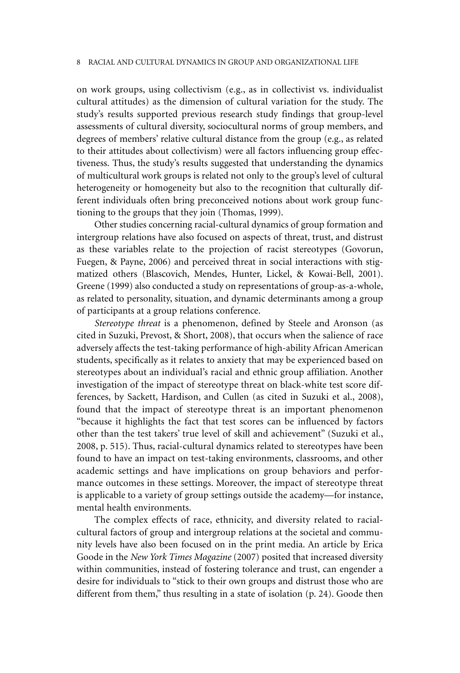on work groups, using collectivism (e.g., as in collectivist vs. individualist cultural attitudes) as the dimension of cultural variation for the study. The study's results supported previous research study findings that group-level assessments of cultural diversity, sociocultural norms of group members, and degrees of members' relative cultural distance from the group (e.g., as related to their attitudes about collectivism) were all factors influencing group effectiveness. Thus, the study's results suggested that understanding the dynamics of multicultural work groups is related not only to the group's level of cultural heterogeneity or homogeneity but also to the recognition that culturally different individuals often bring preconceived notions about work group functioning to the groups that they join (Thomas, 1999).

Other studies concerning racial-cultural dynamics of group formation and intergroup relations have also focused on aspects of threat, trust, and distrust as these variables relate to the projection of racist stereotypes (Govorun, Fuegen, & Payne, 2006) and perceived threat in social interactions with stigmatized others (Blascovich, Mendes, Hunter, Lickel, & Kowai-Bell, 2001). Greene (1999) also conducted a study on representations of group-as-a-whole, as related to personality, situation, and dynamic determinants among a group of participants at a group relations conference.

*Stereotype threat* is a phenomenon, defined by Steele and Aronson (as cited in Suzuki, Prevost, & Short, 2008), that occurs when the salience of race adversely affects the test-taking performance of high-ability African American students, specifically as it relates to anxiety that may be experienced based on stereotypes about an individual's racial and ethnic group affiliation. Another investigation of the impact of stereotype threat on black-white test score differences, by Sackett, Hardison, and Cullen (as cited in Suzuki et al., 2008), found that the impact of stereotype threat is an important phenomenon "because it highlights the fact that test scores can be influenced by factors other than the test takers' true level of skill and achievement" (Suzuki et al., 2008, p. 515). Thus, racial-cultural dynamics related to stereotypes have been found to have an impact on test-taking environments, classrooms, and other academic settings and have implications on group behaviors and performance outcomes in these settings. Moreover, the impact of stereotype threat is applicable to a variety of group settings outside the academy—for instance, mental health environments.

The complex effects of race, ethnicity, and diversity related to racialcultural factors of group and intergroup relations at the societal and community levels have also been focused on in the print media. An article by Erica Goode in the *New York Times Magazine* (2007) posited that increased diversity within communities, instead of fostering tolerance and trust, can engender a desire for individuals to "stick to their own groups and distrust those who are different from them," thus resulting in a state of isolation (p. 24). Goode then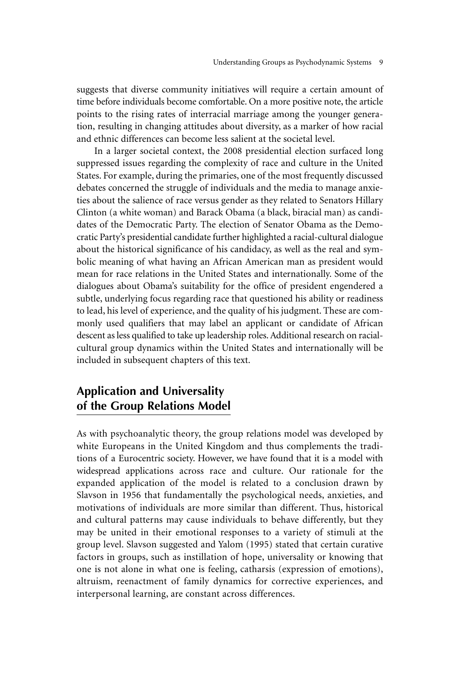suggests that diverse community initiatives will require a certain amount of time before individuals become comfortable. On a more positive note, the article points to the rising rates of interracial marriage among the younger generation, resulting in changing attitudes about diversity, as a marker of how racial and ethnic differences can become less salient at the societal level.

In a larger societal context, the 2008 presidential election surfaced long suppressed issues regarding the complexity of race and culture in the United States. For example, during the primaries, one of the most frequently discussed debates concerned the struggle of individuals and the media to manage anxieties about the salience of race versus gender as they related to Senators Hillary Clinton (a white woman) and Barack Obama (a black, biracial man) as candidates of the Democratic Party. The election of Senator Obama as the Democratic Party's presidential candidate further highlighted a racial-cultural dialogue about the historical significance of his candidacy, as well as the real and symbolic meaning of what having an African American man as president would mean for race relations in the United States and internationally. Some of the dialogues about Obama's suitability for the office of president engendered a subtle, underlying focus regarding race that questioned his ability or readiness to lead, his level of experience, and the quality of his judgment. These are commonly used qualifiers that may label an applicant or candidate of African descent as less qualified to take up leadership roles.Additional research on racialcultural group dynamics within the United States and internationally will be included in subsequent chapters of this text.

## **Application and Universality of the Group Relations Model**

As with psychoanalytic theory, the group relations model was developed by white Europeans in the United Kingdom and thus complements the traditions of a Eurocentric society. However, we have found that it is a model with widespread applications across race and culture. Our rationale for the expanded application of the model is related to a conclusion drawn by Slavson in 1956 that fundamentally the psychological needs, anxieties, and motivations of individuals are more similar than different. Thus, historical and cultural patterns may cause individuals to behave differently, but they may be united in their emotional responses to a variety of stimuli at the group level. Slavson suggested and Yalom (1995) stated that certain curative factors in groups, such as instillation of hope, universality or knowing that one is not alone in what one is feeling, catharsis (expression of emotions), altruism, reenactment of family dynamics for corrective experiences, and interpersonal learning, are constant across differences.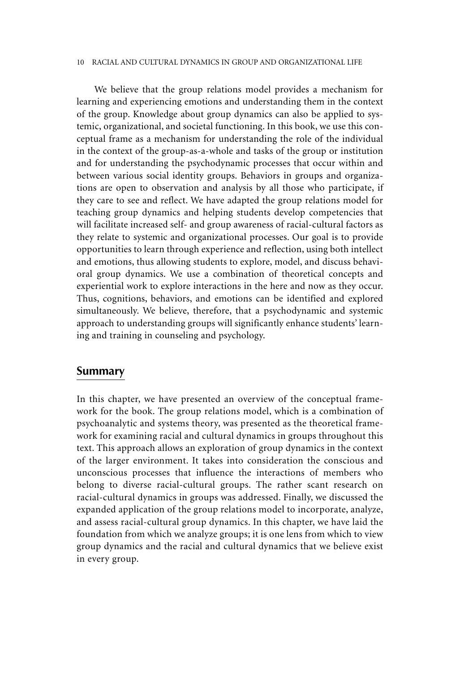#### 10—RACIAL AND CULTURAL DYNAMICS IN GROUP AND ORGANIZATIONAL LIFE

We believe that the group relations model provides a mechanism for learning and experiencing emotions and understanding them in the context of the group. Knowledge about group dynamics can also be applied to systemic, organizational, and societal functioning. In this book, we use this conceptual frame as a mechanism for understanding the role of the individual in the context of the group-as-a-whole and tasks of the group or institution and for understanding the psychodynamic processes that occur within and between various social identity groups. Behaviors in groups and organizations are open to observation and analysis by all those who participate, if they care to see and reflect. We have adapted the group relations model for teaching group dynamics and helping students develop competencies that will facilitate increased self- and group awareness of racial-cultural factors as they relate to systemic and organizational processes. Our goal is to provide opportunities to learn through experience and reflection, using both intellect and emotions, thus allowing students to explore, model, and discuss behavioral group dynamics. We use a combination of theoretical concepts and experiential work to explore interactions in the here and now as they occur. Thus, cognitions, behaviors, and emotions can be identified and explored simultaneously. We believe, therefore, that a psychodynamic and systemic approach to understanding groups will significantly enhance students' learning and training in counseling and psychology.

#### **Summary**

In this chapter, we have presented an overview of the conceptual framework for the book. The group relations model, which is a combination of psychoanalytic and systems theory, was presented as the theoretical framework for examining racial and cultural dynamics in groups throughout this text. This approach allows an exploration of group dynamics in the context of the larger environment. It takes into consideration the conscious and unconscious processes that influence the interactions of members who belong to diverse racial-cultural groups. The rather scant research on racial-cultural dynamics in groups was addressed. Finally, we discussed the expanded application of the group relations model to incorporate, analyze, and assess racial-cultural group dynamics. In this chapter, we have laid the foundation from which we analyze groups; it is one lens from which to view group dynamics and the racial and cultural dynamics that we believe exist in every group.